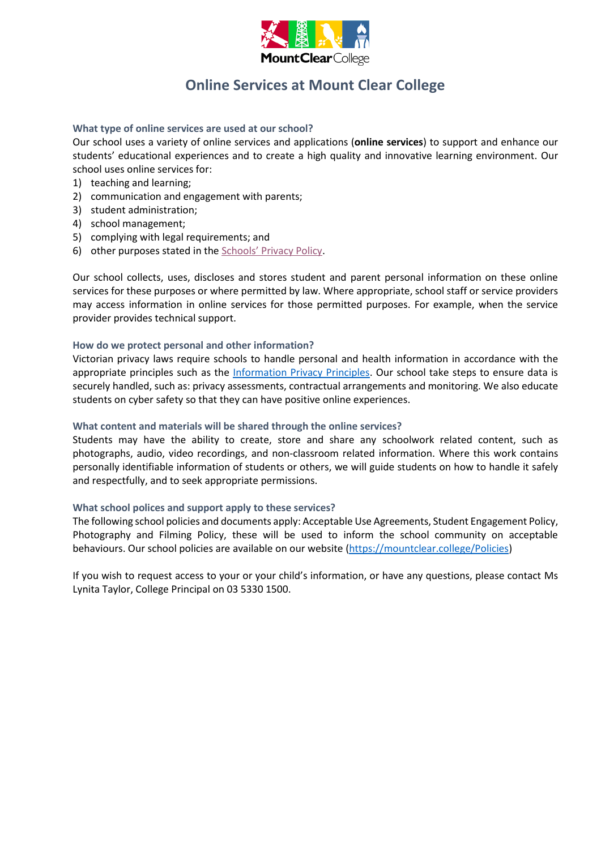

## **Online Services at Mount Clear College**

#### **What type of online services are used at our school?**

Our school uses a variety of online services and applications (**online services**) to support and enhance our students' educational experiences and to create a high quality and innovative learning environment. Our school uses online services for:

- 1) teaching and learning;
- 2) communication and engagement with parents;
- 3) student administration;
- 4) school management;
- 5) complying with legal requirements; and
- 6) other purposes stated in the [Schools' Privacy Policy](https://www.education.vic.gov.au/Pages/schoolsprivacypolicy.aspx).

Our school collects, uses, discloses and stores student and parent personal information on these online services for these purposes or where permitted by law. Where appropriate, school staff or service providers may access information in online services for those permitted purposes. For example, when the service provider provides technical support.

#### **How do we protect personal and other information?**

Victorian privacy laws require schools to handle personal and health information in accordance with the appropriate principles such as the [Information Privacy Principles.](https://ovic.vic.gov.au/privacy/for-agencies/information-privacy-principles/) Our school take steps to ensure data is securely handled, such as: privacy assessments, contractual arrangements and monitoring. We also educate students on cyber safety so that they can have positive online experiences.

#### **What content and materials will be shared through the online services?**

Students may have the ability to create, store and share any schoolwork related content, such as photographs, audio, video recordings, and non-classroom related information. Where this work contains personally identifiable information of students or others, we will guide students on how to handle it safely and respectfully, and to seek appropriate permissions.

#### **What school polices and support apply to these services?**

The following school policies and documents apply: Acceptable Use Agreements, Student Engagement Policy, Photography and Filming Policy, these will be used to inform the school community on acceptable behaviours. Our school policies are available on our website [\(https://mountclear.college/Policies\)](https://mountclear.college/Policies)

If you wish to request access to your or your child's information, or have any questions, please contact Ms Lynita Taylor, College Principal on 03 5330 1500.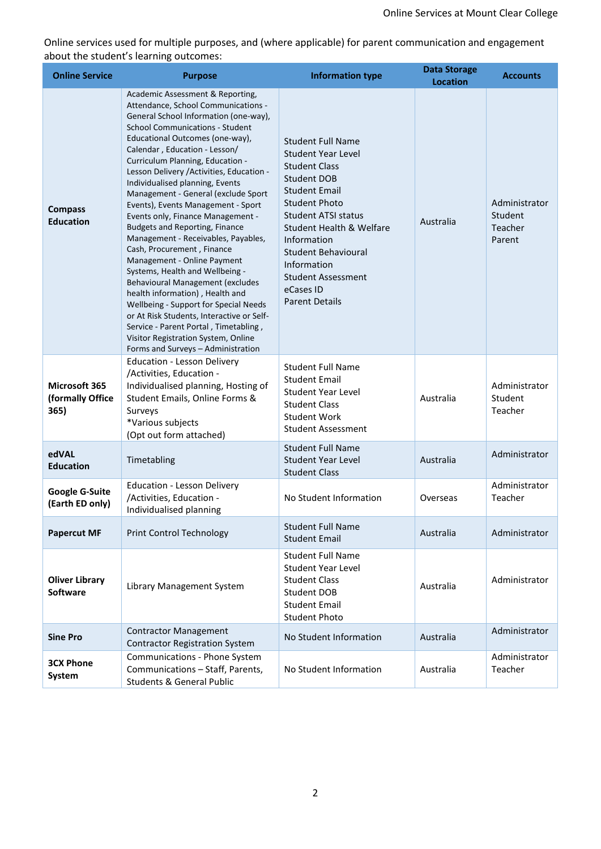Online services used for multiple purposes, and (where applicable) for parent communication and engagement about the student's learning outcomes:

| <b>Online Service</b>                     | <b>Purpose</b>                                                                                                                                                                                                                                                                                                                                                                                                                                                                                                                                                                                                                                                                                                                                                                                                                                                                                      | <b>Information type</b>                                                                                                                                                                                                                                                                                                                          | <b>Data Storage</b> | <b>Accounts</b>                               |
|-------------------------------------------|-----------------------------------------------------------------------------------------------------------------------------------------------------------------------------------------------------------------------------------------------------------------------------------------------------------------------------------------------------------------------------------------------------------------------------------------------------------------------------------------------------------------------------------------------------------------------------------------------------------------------------------------------------------------------------------------------------------------------------------------------------------------------------------------------------------------------------------------------------------------------------------------------------|--------------------------------------------------------------------------------------------------------------------------------------------------------------------------------------------------------------------------------------------------------------------------------------------------------------------------------------------------|---------------------|-----------------------------------------------|
|                                           | Academic Assessment & Reporting,                                                                                                                                                                                                                                                                                                                                                                                                                                                                                                                                                                                                                                                                                                                                                                                                                                                                    |                                                                                                                                                                                                                                                                                                                                                  | <b>Location</b>     |                                               |
| <b>Compass</b><br><b>Education</b>        | Attendance, School Communications -<br>General School Information (one-way),<br><b>School Communications - Student</b><br>Educational Outcomes (one-way),<br>Calendar, Education - Lesson/<br>Curriculum Planning, Education -<br>Lesson Delivery / Activities, Education -<br>Individualised planning, Events<br>Management - General (exclude Sport<br>Events), Events Management - Sport<br>Events only, Finance Management -<br><b>Budgets and Reporting, Finance</b><br>Management - Receivables, Payables,<br>Cash, Procurement, Finance<br>Management - Online Payment<br>Systems, Health and Wellbeing -<br>Behavioural Management (excludes<br>health information), Health and<br>Wellbeing - Support for Special Needs<br>or At Risk Students, Interactive or Self-<br>Service - Parent Portal, Timetabling,<br>Visitor Registration System, Online<br>Forms and Surveys - Administration | <b>Student Full Name</b><br><b>Student Year Level</b><br><b>Student Class</b><br><b>Student DOB</b><br><b>Student Email</b><br><b>Student Photo</b><br>Student ATSI status<br><b>Student Health &amp; Welfare</b><br>Information<br><b>Student Behavioural</b><br>Information<br><b>Student Assessment</b><br>eCases ID<br><b>Parent Details</b> | Australia           | Administrator<br>Student<br>Teacher<br>Parent |
| Microsoft 365<br>(formally Office<br>365) | <b>Education - Lesson Delivery</b><br>/Activities, Education -<br>Individualised planning, Hosting of<br>Student Emails, Online Forms &<br>Surveys<br>*Various subjects<br>(Opt out form attached)                                                                                                                                                                                                                                                                                                                                                                                                                                                                                                                                                                                                                                                                                                  | <b>Student Full Name</b><br><b>Student Email</b><br><b>Student Year Level</b><br><b>Student Class</b><br><b>Student Work</b><br><b>Student Assessment</b>                                                                                                                                                                                        | Australia           | Administrator<br>Student<br>Teacher           |
| edVAL<br><b>Education</b>                 | Timetabling                                                                                                                                                                                                                                                                                                                                                                                                                                                                                                                                                                                                                                                                                                                                                                                                                                                                                         | <b>Student Full Name</b><br><b>Student Year Level</b><br><b>Student Class</b>                                                                                                                                                                                                                                                                    | Australia           | Administrator                                 |
| <b>Google G-Suite</b><br>(Earth ED only)  | <b>Education - Lesson Delivery</b><br>/Activities, Education -<br>Individualised planning                                                                                                                                                                                                                                                                                                                                                                                                                                                                                                                                                                                                                                                                                                                                                                                                           | No Student Information                                                                                                                                                                                                                                                                                                                           | Overseas            | Administrator<br>Teacher                      |
| <b>Papercut MF</b>                        | <b>Print Control Technology</b>                                                                                                                                                                                                                                                                                                                                                                                                                                                                                                                                                                                                                                                                                                                                                                                                                                                                     | <b>Student Full Name</b><br><b>Student Email</b>                                                                                                                                                                                                                                                                                                 | Australia           | Administrator                                 |
| <b>Oliver Library</b><br><b>Software</b>  | Library Management System                                                                                                                                                                                                                                                                                                                                                                                                                                                                                                                                                                                                                                                                                                                                                                                                                                                                           | <b>Student Full Name</b><br>Student Year Level<br><b>Student Class</b><br>Student DOB<br><b>Student Email</b><br><b>Student Photo</b>                                                                                                                                                                                                            | Australia           | Administrator                                 |
| <b>Sine Pro</b>                           | <b>Contractor Management</b><br><b>Contractor Registration System</b>                                                                                                                                                                                                                                                                                                                                                                                                                                                                                                                                                                                                                                                                                                                                                                                                                               | No Student Information                                                                                                                                                                                                                                                                                                                           | Australia           | Administrator                                 |
| <b>3CX Phone</b><br>System                | Communications - Phone System<br>Communications - Staff, Parents,<br><b>Students &amp; General Public</b>                                                                                                                                                                                                                                                                                                                                                                                                                                                                                                                                                                                                                                                                                                                                                                                           | No Student Information                                                                                                                                                                                                                                                                                                                           | Australia           | Administrator<br>Teacher                      |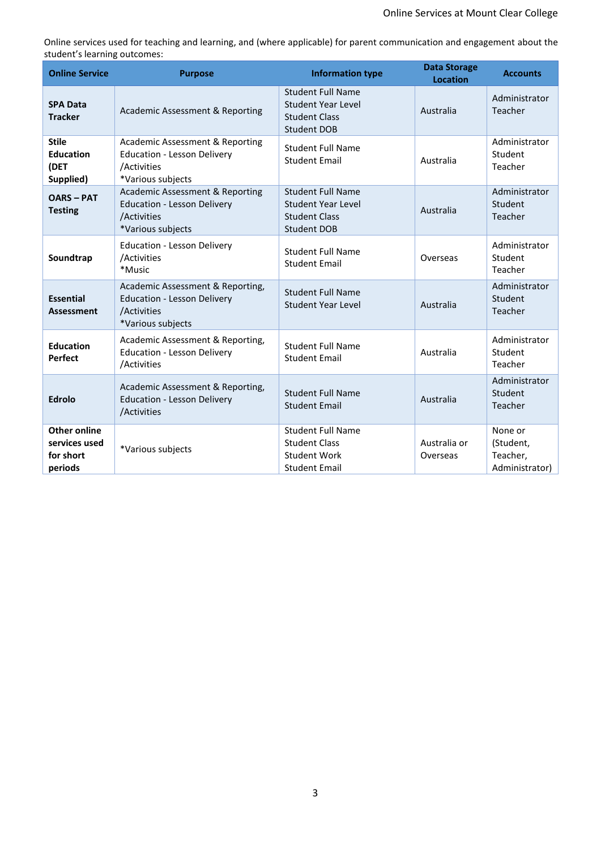Online services used for teaching and learning, and (where applicable) for parent communication and engagement about the student's learning outcomes:

| <b>Online Service</b>                                 | <b>Purpose</b>                                                                                             | <b>Information type</b>                                                                             | <b>Data Storage</b><br><b>Location</b> | <b>Accounts</b>                                    |
|-------------------------------------------------------|------------------------------------------------------------------------------------------------------------|-----------------------------------------------------------------------------------------------------|----------------------------------------|----------------------------------------------------|
| <b>SPA Data</b><br><b>Tracker</b>                     | Academic Assessment & Reporting                                                                            | <b>Student Full Name</b><br><b>Student Year Level</b><br><b>Student Class</b><br><b>Student DOB</b> | Australia                              | Administrator<br>Teacher                           |
| <b>Stile</b><br><b>Education</b><br>(DET<br>Supplied) | Academic Assessment & Reporting<br><b>Education - Lesson Delivery</b><br>/Activities<br>*Various subjects  | <b>Student Full Name</b><br><b>Student Email</b>                                                    | Australia                              | Administrator<br>Student<br>Teacher                |
| <b>OARS-PAT</b><br><b>Testing</b>                     | Academic Assessment & Reporting<br><b>Education - Lesson Delivery</b><br>/Activities<br>*Various subjects  | <b>Student Full Name</b><br><b>Student Year Level</b><br><b>Student Class</b><br><b>Student DOB</b> | Australia                              | Administrator<br>Student<br>Teacher                |
| Soundtrap                                             | <b>Education - Lesson Delivery</b><br>/Activities<br>*Music                                                | <b>Student Full Name</b><br><b>Student Email</b>                                                    | Overseas                               | Administrator<br>Student<br>Teacher                |
| <b>Essential</b><br><b>Assessment</b>                 | Academic Assessment & Reporting,<br><b>Education - Lesson Delivery</b><br>/Activities<br>*Various subjects | <b>Student Full Name</b><br><b>Student Year Level</b>                                               | Australia                              | Administrator<br>Student<br>Teacher                |
| <b>Education</b><br><b>Perfect</b>                    | Academic Assessment & Reporting,<br><b>Education - Lesson Delivery</b><br>/Activities                      | <b>Student Full Name</b><br><b>Student Email</b>                                                    | Australia                              | Administrator<br>Student<br>Teacher                |
| <b>Edrolo</b>                                         | Academic Assessment & Reporting,<br><b>Education - Lesson Delivery</b><br>/Activities                      | <b>Student Full Name</b><br><b>Student Email</b>                                                    | Australia                              | Administrator<br>Student<br>Teacher                |
| Other online<br>services used<br>for short<br>periods | *Various subjects                                                                                          | <b>Student Full Name</b><br><b>Student Class</b><br>Student Work<br><b>Student Email</b>            | Australia or<br>Overseas               | None or<br>(Student,<br>Teacher,<br>Administrator) |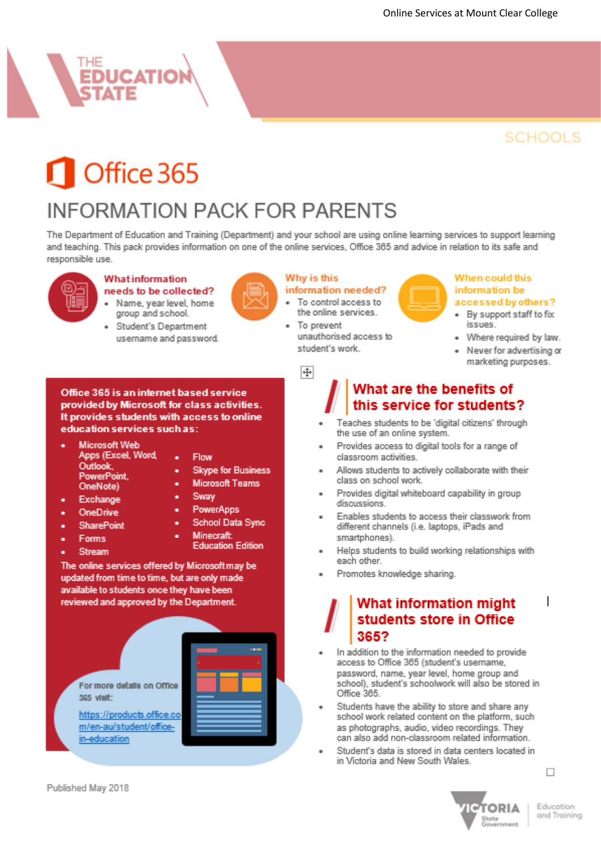# **EDUCATION**

# **SCHOOLS**

# Office 365

# **INFORMATION PACK FOR PARENTS**

The Department of Education and Training (Department) and your school are using online learning services to support learning and teaching. This pack provides information on one of the online services, Office 365 and advice in relation to its safe and responsible use.



### Whatinformation

- needs to be collected? Name, year level, home group and school.
	- Student's Department username and password.

Office 365 is an internet based service provided by Microsoft for class activities.

education services such as:

**Microsoft Web** 

Outlook,

OneNote)

Exchange

PowerPoint,

Apps (Excel, Word,

It provides students with access to online

٠



#### Why is this

information needed? To control access to

- the online services. To prevent
- unauthorised access to student's work.

#### When could this information be

#### accessed by others?

- By support staff to fix issues.
- Where required by law.
- Never for advertising or marketing purposes.

中

## What are the benefits of this service for students?

- Teaches students to be 'digital citizens' through the use of an online system.
- Provides access to digital tools for a range of classroom activities.
- Allows students to actively collaborate with their class on school work.
- Provides digital whiteboard capability in group discussions.
- Enables students to access their classwork from different channels (i.e. laptops, iPads and smartphones).
- Helps students to build working relationships with each other.
- Promotes knowledge sharing.

### What information might students store in Office 365?

- In addition to the information needed to provide access to Office 365 (student's username, password, name, year level, home group and school), student's schoolwork will also be stored in Office 365.
- Students have the ability to store and share any school work related content on the platform, such as photographs, audio, video recordings. They can also add non-classroom related information.
- Student's data is stored in data centers located in in Victoria and New South Wales.

OneDrive **SharePoint Forms** Stream

Sway PowerApps

Flow

School Data Sync

**Skype for Business** 

**Microsoft Teams** 

- 
- 
- Minecraft: **Education Edition**

The online services offered by Microsoftmay be updated from time to time, but are only made available to students once they have been reviewed and approved by the Department.

For more details on Office 365 visit: https://products.office.co m/en-au/student/office in-education



 $\Box$ 

I